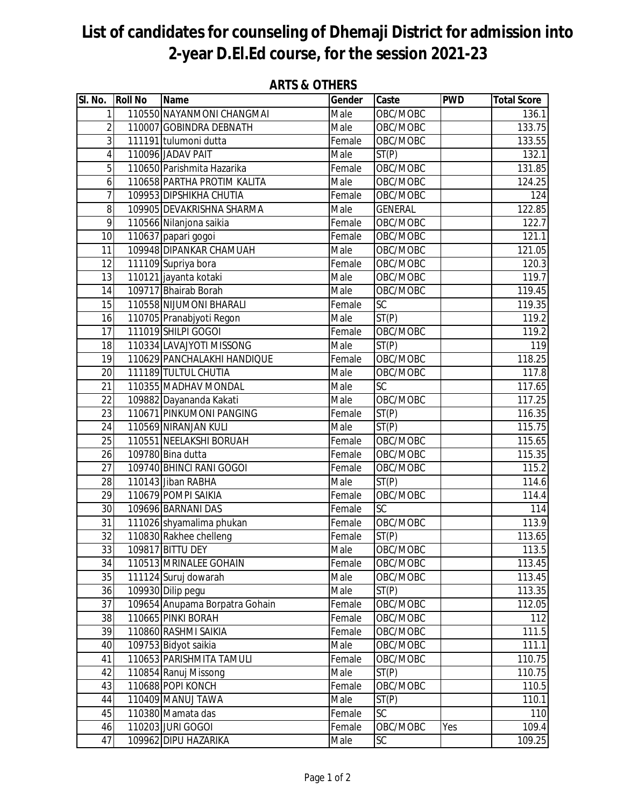## **List of candidates for counseling of Dhemaji District for admission into 2-year D.El.Ed course, for the session 2021-23**

| SI. No.         | <b>Roll No</b> | <b>Name</b>                    | Gender                     | Caste              | <b>PWD</b> | <b>Total Score</b>  |
|-----------------|----------------|--------------------------------|----------------------------|--------------------|------------|---------------------|
| $\mathbf{1}$    |                | 110550 NAYANMONI CHANGMAI      | Male                       | OBC/MOBC           |            | 136.1               |
| $\overline{a}$  |                | 110007 GOBINDRA DEBNATH        | Male                       | OBC/MOBC           |            | 133.75              |
| $\overline{3}$  |                | 111191 tulumoni dutta          | Female                     | OBC/MOBC           |            | 133.55              |
| $\overline{4}$  |                | 110096 JADAV PAIT              | Male                       | $\overline{ST(P)}$ |            | 132.1               |
| $\overline{5}$  |                | 110650 Parishmita Hazarika     | Female                     | OBC/MOBC           |            | 131.85              |
| $\overline{6}$  |                | 110658 PARTHA PROTIM KALITA    | $\overline{\mathsf{Male}}$ | OBC/MOBC           |            | 124.25              |
| $\overline{7}$  |                | 109953 DIPSHIKHA CHUTIA        | Female                     | OBC/MOBC           |            | 124                 |
| 8               |                | 109905 DEVAKRISHNA SHARMA      | Male                       | <b>GENERAL</b>     |            | 122.85              |
| 9               |                | 110566 Nilanjona saikia        | Female                     | OBC/MOBC           |            | 122.7               |
| 10              |                | 110637 papari gogoi            | Female                     | OBC/MOBC           |            | 121.1               |
| 11              |                | 109948 DIPANKAR CHAMUAH        | Male                       | OBC/MOBC           |            | 121.05              |
| 12              |                | 111109 Supriya bora            | Female                     | OBC/MOBC           |            | 120.3               |
| 13              |                | 110121 jayanta kotaki          | Male                       | OBC/MOBC           |            | 119.7               |
| 14              |                | 109717 Bhairab Borah           | Male                       | OBC/MOBC           |            | 119.45              |
| 15              |                | 110558 NIJUMONI BHARALI        | Female                     | SC                 |            | 119.35              |
| 16              |                | 110705 Pranabjyoti Regon       | Male                       | ST(P)              |            | 119.2               |
| 17              |                | 111019 SHILPI GOGOI            | Female                     | OBC/MOBC           |            | 119.2               |
| 18              |                | 110334 LAVAJYOTI MISSONG       | Male                       | ST(P)              |            | 119                 |
| 19              |                | 110629 PANCHALAKHI HANDIQUE    | Female                     | OBC/MOBC           |            | 118.25              |
| $\overline{20}$ |                | 111189 TULTUL CHUTIA           | $\overline{\mathsf{Male}}$ | OBC/MOBC           |            | 117.8               |
| 21              |                | 110355 MADHAV MONDAL           | Male                       | <b>SC</b>          |            | 117.65              |
| 22              |                | 109882 Dayananda Kakati        | Male                       | OBC/MOBC           |            | 117.25              |
| 23              |                | 110671 PINKUMONI PANGING       | Female                     | ST(P)              |            | 116.35              |
| 24              |                | 110569 NIRANJAN KULI           | Male                       | ST(P)              |            | 115.75              |
| $\overline{25}$ |                | 110551 NEELAKSHI BORUAH        | Female                     | OBC/MOBC           |            | 115.65              |
| 26              |                | 109780 Bina dutta              | Female                     | OBC/MOBC           |            | $\overline{115.35}$ |
| 27              |                | 109740 BHINCI RANI GOGOI       | Female                     | OBC/MOBC           |            | 115.2               |
| 28              |                | 110143 Jiban RABHA             | Male                       | ST(P)              |            | 114.6               |
| 29              |                | 110679 POMPI SAIKIA            | Female                     | OBC/MOBC           |            | 114.4               |
| 30              |                | 109696 BARNANI DAS             | Female                     | <b>SC</b>          |            | 114                 |
| 31              |                | 111026 shyamalima phukan       | Female                     | OBC/MOBC           |            | 113.9               |
| 32              |                | 110830 Rakhee chelleng         | Female                     | ST(P)              |            | 113.65              |
| 33              |                | 109817 BITTU DEY               | Male                       | OBC/MOBC           |            | 113.5               |
| 34              |                | 110513 MRINALEE GOHAIN         | Female                     | OBC/MOBC           |            | 113.45              |
| 35              |                | 111124 Suruj dowarah           | Male                       | OBC/MOBC           |            | 113.45              |
| 36              |                | 109930 Dilip pegu              | Male                       | ST(P)              |            | 113.35              |
| 37              |                | 109654 Anupama Borpatra Gohain | Female                     | OBC/MOBC           |            | 112.05              |
| 38              |                | 110665 PINKI BORAH             | Female                     | OBC/MOBC           |            | 112                 |
| 39              |                | 110860 RASHMI SAIKIA           | Female                     | OBC/MOBC           |            | 111.5               |
| 40              |                | 109753 Bidyot saikia           | Male                       | OBC/MOBC           |            | 111.1               |
| 41              |                | 110653 PARISHMITA TAMULI       | Female                     | OBC/MOBC           |            | 110.75              |
| 42              |                | 110854 Ranuj Missong           | Male                       | ST(P)              |            | 110.75              |
| 43              |                | 110688 POPI KONCH              | Female                     | OBC/MOBC           |            | 110.5               |
| 44              |                | 110409 MANUJ TAWA              | Male                       | ST(P)              |            | 110.1               |
| 45              |                | 110380 Mamata das              | Female                     | SC                 |            | 110                 |
| 46              |                | 110203 JURI GOGOI              | Female                     | OBC/MOBC           | Yes        | 109.4               |
| 47              |                | 109962 DIPU HAZARIKA           | Male                       | SC                 |            | 109.25              |

## **ARTS & OTHERS**